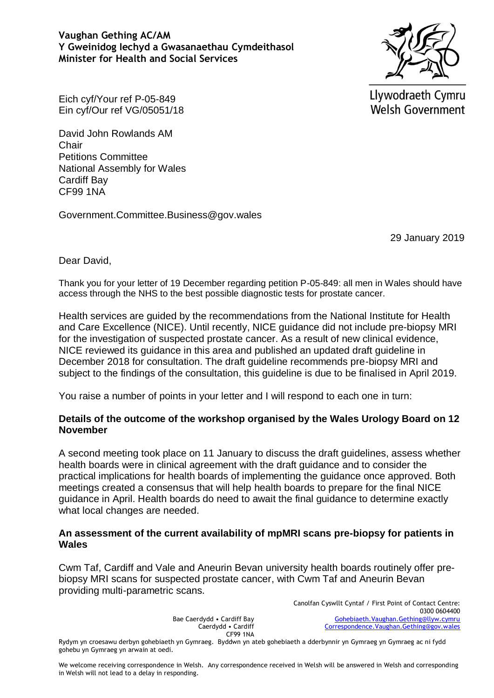# **Vaughan Gething AC/AM Y Gweinidog Iechyd a Gwasanaethau Cymdeithasol Minister for Health and Social Services**



Llywodraeth Cymru **Welsh Government** 

Eich cyf/Your ref P-05-849 Ein cyf/Our ref VG/05051/18

David John Rowlands AM **Chair** Petitions Committee National Assembly for Wales Cardiff Bay CF99 1NA

Government.Committee.Business@gov.wales

29 January 2019

Dear David,

Thank you for your letter of 19 December regarding petition P-05-849: all men in Wales should have access through the NHS to the best possible diagnostic tests for prostate cancer.

Health services are guided by the recommendations from the National Institute for Health and Care Excellence (NICE). Until recently, NICE guidance did not include pre-biopsy MRI for the investigation of suspected prostate cancer. As a result of new clinical evidence, NICE reviewed its guidance in this area and published an updated draft guideline in December 2018 for consultation. The draft guideline recommends pre-biopsy MRI and subject to the findings of the consultation, this guideline is due to be finalised in April 2019.

You raise a number of points in your letter and I will respond to each one in turn:

# **Details of the outcome of the workshop organised by the Wales Urology Board on 12 November**

A second meeting took place on 11 January to discuss the draft guidelines, assess whether health boards were in clinical agreement with the draft guidance and to consider the practical implications for health boards of implementing the guidance once approved. Both meetings created a consensus that will help health boards to prepare for the final NICE guidance in April. Health boards do need to await the final guidance to determine exactly what local changes are needed.

# **An assessment of the current availability of mpMRI scans pre-biopsy for patients in Wales**

Cwm Taf, Cardiff and Vale and Aneurin Bevan university health boards routinely offer prebiopsy MRI scans for suspected prostate cancer, with Cwm Taf and Aneurin Bevan providing multi-parametric scans.

> Canolfan Cyswllt Cyntaf / First Point of Contact Centre: 0300 0604400 [Gohebiaeth.Vaughan.Gething@llyw.cymru](mailto:Gohebiaeth.Vaughan.Gething@llyw.cymru) [Correspondence.Vaughan.Gething@gov.wales](mailto:Correspondence.Vaughan.Gething@gov.wales)

Rydym yn croesawu derbyn gohebiaeth yn Gymraeg. Byddwn yn ateb gohebiaeth a dderbynnir yn Gymraeg yn Gymraeg ac ni fydd gohebu yn Gymraeg yn arwain at oedi.

Bae Caerdydd • Cardiff Bay Caerdydd • Cardiff CF99 1NA

We welcome receiving correspondence in Welsh. Any correspondence received in Welsh will be answered in Welsh and corresponding in Welsh will not lead to a delay in responding.